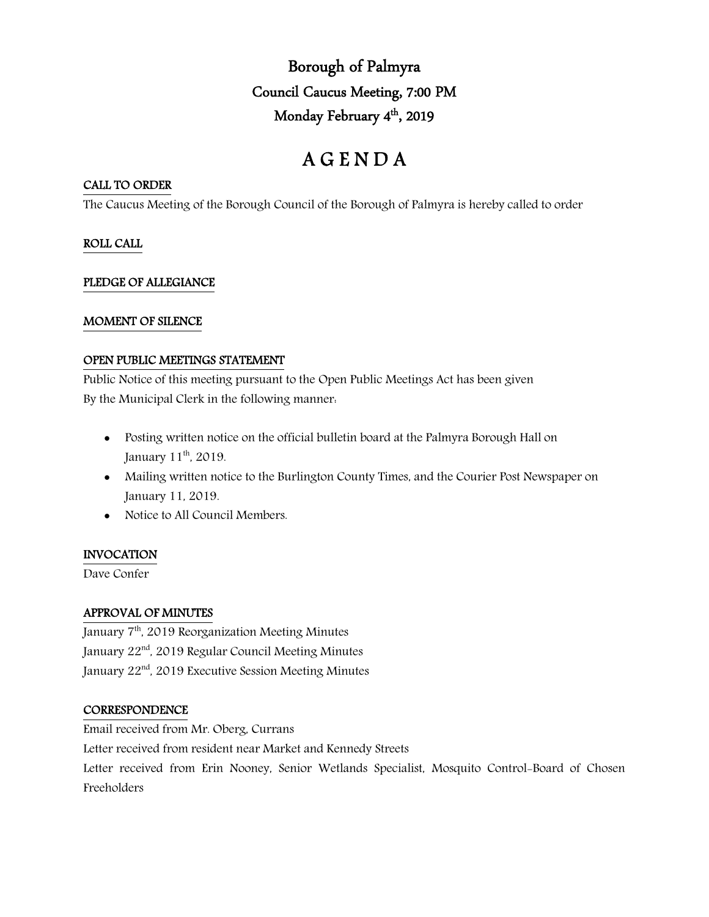Borough of Palmyra Council Caucus Meeting, 7:00 PM Monday February 4<sup>th</sup>, 2019

# A G E N D A

## CALL TO ORDER

The Caucus Meeting of the Borough Council of the Borough of Palmyra is hereby called to order

## ROLL CALL

## PLEDGE OF ALLEGIANCE

## MOMENT OF SILENCE

### OPEN PUBLIC MEETINGS STATEMENT

Public Notice of this meeting pursuant to the Open Public Meetings Act has been given By the Municipal Clerk in the following manner:

- Posting written notice on the official bulletin board at the Palmyra Borough Hall on January 11<sup>th</sup>, 2019.
- Mailing written notice to the Burlington County Times, and the Courier Post Newspaper on January 11, 2019.
- Notice to All Council Members.

# INVOCATION

Dave Confer

# APPROVAL OF MINUTES

January 7th, 2019 Reorganization Meeting Minutes January 22<sup>nd</sup>, 2019 Regular Council Meeting Minutes January 22<sup>nd</sup>, 2019 Executive Session Meeting Minutes

### **CORRESPONDENCE**

Email received from Mr. Oberg, Currans Letter received from resident near Market and Kennedy Streets Letter received from Erin Nooney, Senior Wetlands Specialist, Mosquito Control-Board of Chosen Freeholders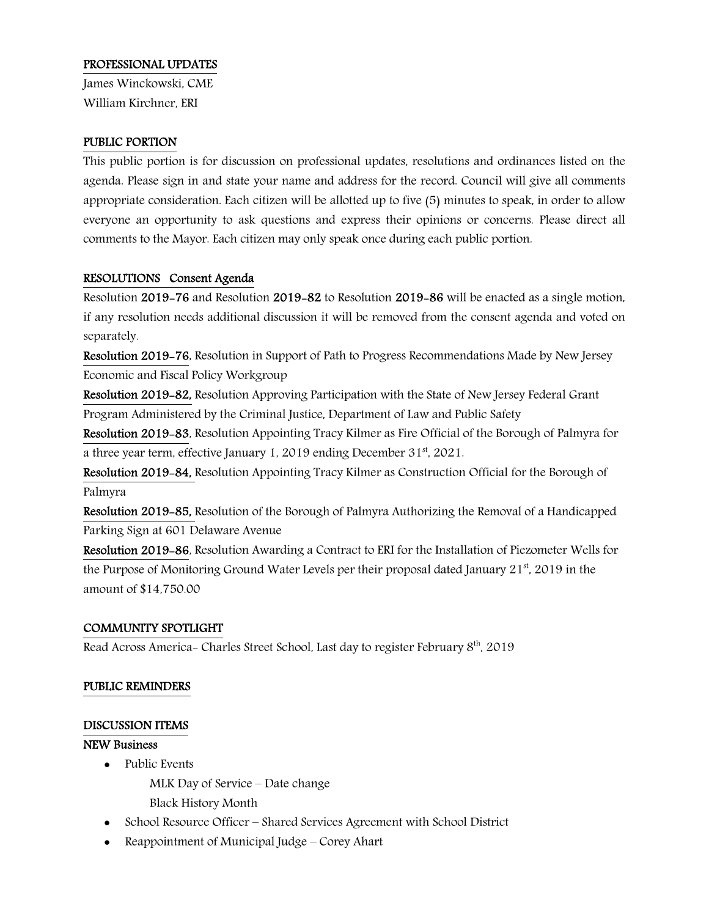## PROFESSIONAL UPDATES

James Winckowski, CME William Kirchner, ERI

### PUBLIC PORTION

This public portion is for discussion on professional updates, resolutions and ordinances listed on the agenda. Please sign in and state your name and address for the record. Council will give all comments appropriate consideration. Each citizen will be allotted up to five (5) minutes to speak, in order to allow everyone an opportunity to ask questions and express their opinions or concerns. Please direct all comments to the Mayor. Each citizen may only speak once during each public portion.

# RESOLUTIONS Consent Agenda

Resolution 2019-76 and Resolution 2019-82 to Resolution 2019-86 will be enacted as a single motion, if any resolution needs additional discussion it will be removed from the consent agenda and voted on separately.

Resolution 2019-76, Resolution in Support of Path to Progress Recommendations Made by New Jersey Economic and Fiscal Policy Workgroup

Resolution 2019-82, Resolution Approving Participation with the State of New Jersey Federal Grant Program Administered by the Criminal Justice, Department of Law and Public Safety

Resolution 2019-83, Resolution Appointing Tracy Kilmer as Fire Official of the Borough of Palmyra for a three year term, effective January 1, 2019 ending December 31<sup>st</sup>, 2021.

Resolution 2019-84, Resolution Appointing Tracy Kilmer as Construction Official for the Borough of Palmyra

Resolution 2019-85, Resolution of the Borough of Palmyra Authorizing the Removal of a Handicapped Parking Sign at 601 Delaware Avenue

Resolution 2019-86, Resolution Awarding a Contract to ERI for the Installation of Piezometer Wells for the Purpose of Monitoring Ground Water Levels per their proposal dated January  $21^{st}$ , 2019 in the amount of \$14,750.00

# COMMUNITY SPOTLIGHT

Read Across America- Charles Street School, Last day to register February 8<sup>th</sup>, 2019

### PUBLIC REMINDERS

### DISCUSSION ITEMS

## NEW Business

• Public Events

MLK Day of Service – Date change

- Black History Month
- School Resource Officer Shared Services Agreement with School District
- Reappointment of Municipal Judge Corey Ahart